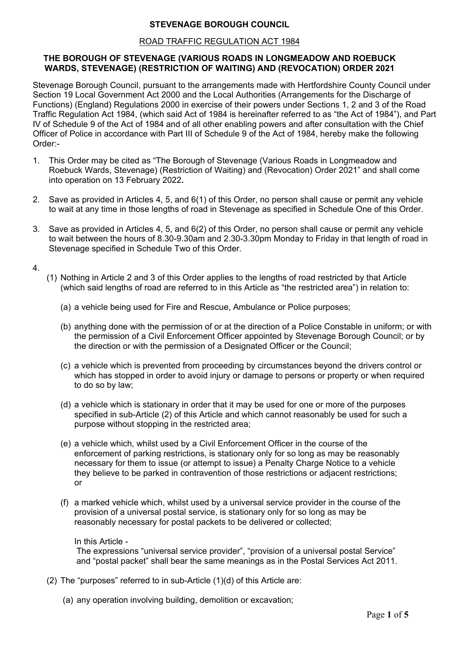# **STEVENAGE BOROUGH COUNCIL**

### ROAD TRAFFIC REGULATION ACT 1984

## **THE BOROUGH OF STEVENAGE (VARIOUS ROADS IN LONGMEADOW AND ROEBUCK WARDS, STEVENAGE) (RESTRICTION OF WAITING) AND (REVOCATION) ORDER 2021**

Stevenage Borough Council, pursuant to the arrangements made with Hertfordshire County Council under Section 19 Local Government Act 2000 and the Local Authorities (Arrangements for the Discharge of Functions) (England) Regulations 2000 in exercise of their powers under Sections 1, 2 and 3 of the Road Traffic Regulation Act 1984, (which said Act of 1984 is hereinafter referred to as "the Act of 1984"), and Part IV of Schedule 9 of the Act of 1984 and of all other enabling powers and after consultation with the Chief Officer of Police in accordance with Part III of Schedule 9 of the Act of 1984, hereby make the following Order:-

- 1. This Order may be cited as "The Borough of Stevenage (Various Roads in Longmeadow and Roebuck Wards, Stevenage) (Restriction of Waiting) and (Revocation) Order 2021" and shall come into operation on 13 February 2022**.**
- 2. Save as provided in Articles 4, 5, and 6(1) of this Order, no person shall cause or permit any vehicle to wait at any time in those lengths of road in Stevenage as specified in Schedule One of this Order.
- 3. Save as provided in Articles 4, 5, and 6(2) of this Order, no person shall cause or permit any vehicle to wait between the hours of 8.30-9.30am and 2.30-3.30pm Monday to Friday in that length of road in Stevenage specified in Schedule Two of this Order.
- 4.
- (1) Nothing in Article 2 and 3 of this Order applies to the lengths of road restricted by that Article (which said lengths of road are referred to in this Article as "the restricted area") in relation to:
	- (a) a vehicle being used for Fire and Rescue, Ambulance or Police purposes;
	- (b) anything done with the permission of or at the direction of a Police Constable in uniform; or with the permission of a Civil Enforcement Officer appointed by Stevenage Borough Council; or by the direction or with the permission of a Designated Officer or the Council;
	- (c) a vehicle which is prevented from proceeding by circumstances beyond the drivers control or which has stopped in order to avoid injury or damage to persons or property or when required to do so by law;
	- (d) a vehicle which is stationary in order that it may be used for one or more of the purposes specified in sub-Article (2) of this Article and which cannot reasonably be used for such a purpose without stopping in the restricted area;
	- (e) a vehicle which, whilst used by a Civil Enforcement Officer in the course of the enforcement of parking restrictions, is stationary only for so long as may be reasonably necessary for them to issue (or attempt to issue) a Penalty Charge Notice to a vehicle they believe to be parked in contravention of those restrictions or adjacent restrictions; or
	- (f) a marked vehicle which, whilst used by a universal service provider in the course of the provision of a universal postal service, is stationary only for so long as may be reasonably necessary for postal packets to be delivered or collected;

### In this Article -

The expressions "universal service provider", "provision of a universal postal Service" and "postal packet" shall bear the same meanings as in the Postal Services Act 2011.

- (2) The "purposes" referred to in sub-Article (1)(d) of this Article are:
	- (a) any operation involving building, demolition or excavation;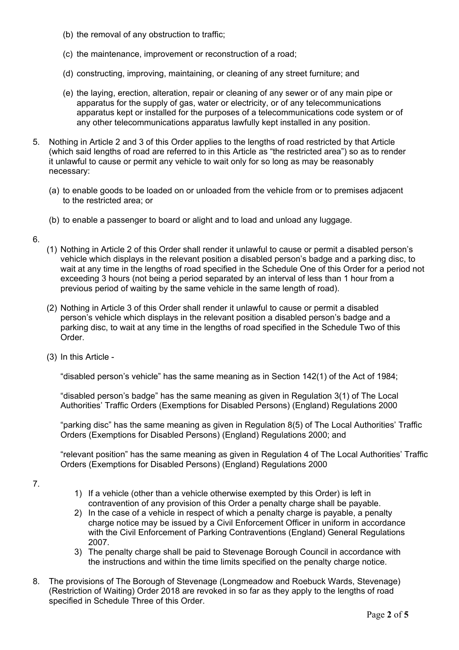- (b) the removal of any obstruction to traffic;
- (c) the maintenance, improvement or reconstruction of a road;
- (d) constructing, improving, maintaining, or cleaning of any street furniture; and
- (e) the laying, erection, alteration, repair or cleaning of any sewer or of any main pipe or apparatus for the supply of gas, water or electricity, or of any telecommunications apparatus kept or installed for the purposes of a telecommunications code system or of any other telecommunications apparatus lawfully kept installed in any position.
- 5. Nothing in Article 2 and 3 of this Order applies to the lengths of road restricted by that Article (which said lengths of road are referred to in this Article as "the restricted area") so as to render it unlawful to cause or permit any vehicle to wait only for so long as may be reasonably necessary:
	- (a) to enable goods to be loaded on or unloaded from the vehicle from or to premises adjacent to the restricted area; or
	- (b) to enable a passenger to board or alight and to load and unload any luggage.
- 6.
- (1) Nothing in Article 2 of this Order shall render it unlawful to cause or permit a disabled person's vehicle which displays in the relevant position a disabled person's badge and a parking disc, to wait at any time in the lengths of road specified in the Schedule One of this Order for a period not exceeding 3 hours (not being a period separated by an interval of less than 1 hour from a previous period of waiting by the same vehicle in the same length of road).
- (2) Nothing in Article 3 of this Order shall render it unlawful to cause or permit a disabled person's vehicle which displays in the relevant position a disabled person's badge and a parking disc, to wait at any time in the lengths of road specified in the Schedule Two of this Order.
- (3) In this Article -

"disabled person's vehicle" has the same meaning as in Section 142(1) of the Act of 1984;

"disabled person's badge" has the same meaning as given in Regulation 3(1) of The Local Authorities' Traffic Orders (Exemptions for Disabled Persons) (England) Regulations 2000

"parking disc" has the same meaning as given in Regulation 8(5) of The Local Authorities' Traffic Orders (Exemptions for Disabled Persons) (England) Regulations 2000; and

"relevant position" has the same meaning as given in Regulation 4 of The Local Authorities' Traffic Orders (Exemptions for Disabled Persons) (England) Regulations 2000

7.

- 1) If a vehicle (other than a vehicle otherwise exempted by this Order) is left in contravention of any provision of this Order a penalty charge shall be payable.
- 2) In the case of a vehicle in respect of which a penalty charge is payable, a penalty charge notice may be issued by a Civil Enforcement Officer in uniform in accordance with the Civil Enforcement of Parking Contraventions (England) General Regulations 2007.
- 3) The penalty charge shall be paid to Stevenage Borough Council in accordance with the instructions and within the time limits specified on the penalty charge notice.
- 8. The provisions of The Borough of Stevenage (Longmeadow and Roebuck Wards, Stevenage) (Restriction of Waiting) Order 2018 are revoked in so far as they apply to the lengths of road specified in Schedule Three of this Order.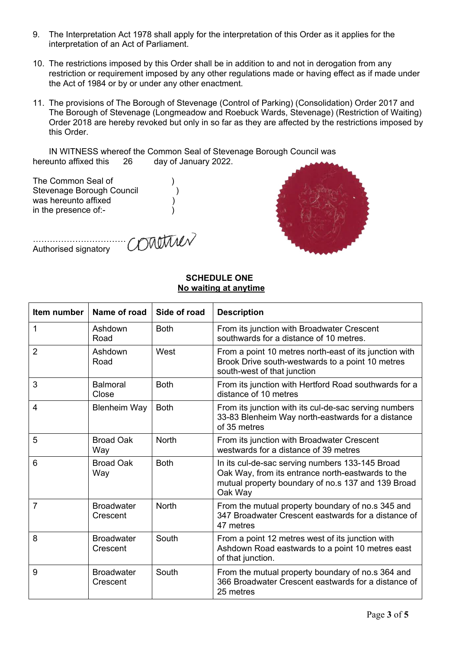- 9. The Interpretation Act 1978 shall apply for the interpretation of this Order as it applies for the interpretation of an Act of Parliament.
- 10. The restrictions imposed by this Order shall be in addition to and not in derogation from any restriction or requirement imposed by any other regulations made or having effect as if made under the Act of 1984 or by or under any other enactment.
- 11. The provisions of The Borough of Stevenage (Control of Parking) (Consolidation) Order 2017 and The Borough of Stevenage (Longmeadow and Roebuck Wards, Stevenage) (Restriction of Waiting) Order 2018 are hereby revoked but only in so far as they are affected by the restrictions imposed by this Order.

IN WITNESS whereof the Common Seal of Stevenage Borough Council was<br>unto affixed this 26 day of January 2022. hereunto affixed this 26

The Common Seal of (1) Stevenage Borough Council (1996) was hereunto affixed (a) in the presence of:- $\overrightarrow{\hspace{1cm}}$ 

Authorised signatory

………………………………………….

## **SCHEDULE ONE No waiting at anytime**

| Item number    | Name of road                  | Side of road | <b>Description</b>                                                                                                                                                    |
|----------------|-------------------------------|--------------|-----------------------------------------------------------------------------------------------------------------------------------------------------------------------|
| $\mathbf{1}$   | Ashdown<br>Road               | <b>Both</b>  | From its junction with Broadwater Crescent<br>southwards for a distance of 10 metres.                                                                                 |
| $\overline{2}$ | Ashdown<br>Road               | West         | From a point 10 metres north-east of its junction with<br>Brook Drive south-westwards to a point 10 metres<br>south-west of that junction                             |
| 3              | <b>Balmoral</b><br>Close      | <b>Both</b>  | From its junction with Hertford Road southwards for a<br>distance of 10 metres                                                                                        |
| 4              | <b>Blenheim Way</b>           | <b>Both</b>  | From its junction with its cul-de-sac serving numbers<br>33-83 Blenheim Way north-eastwards for a distance<br>of 35 metres                                            |
| 5              | <b>Broad Oak</b><br>Way       | <b>North</b> | From its junction with Broadwater Crescent<br>westwards for a distance of 39 metres                                                                                   |
| 6              | <b>Broad Oak</b><br>Way       | <b>Both</b>  | In its cul-de-sac serving numbers 133-145 Broad<br>Oak Way, from its entrance north-eastwards to the<br>mutual property boundary of no.s 137 and 139 Broad<br>Oak Way |
| $\overline{7}$ | <b>Broadwater</b><br>Crescent | <b>North</b> | From the mutual property boundary of no.s 345 and<br>347 Broadwater Crescent eastwards for a distance of<br>47 metres                                                 |
| 8              | <b>Broadwater</b><br>Crescent | South        | From a point 12 metres west of its junction with<br>Ashdown Road eastwards to a point 10 metres east<br>of that junction.                                             |
| 9              | <b>Broadwater</b><br>Crescent | South        | From the mutual property boundary of no.s 364 and<br>366 Broadwater Crescent eastwards for a distance of<br>25 metres                                                 |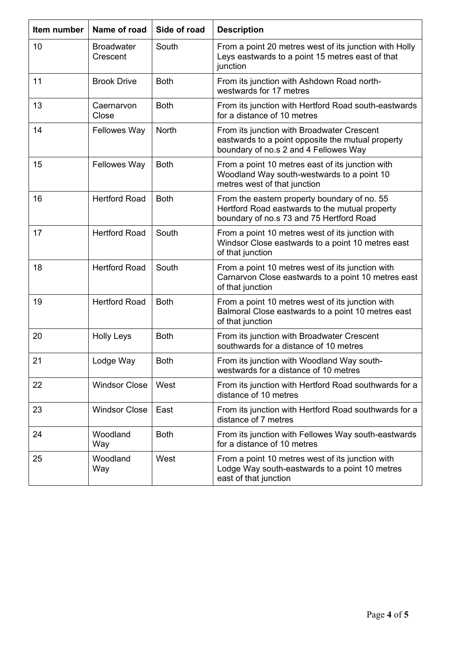| Item number | Name of road                  | Side of road | <b>Description</b>                                                                                                                         |
|-------------|-------------------------------|--------------|--------------------------------------------------------------------------------------------------------------------------------------------|
| 10          | <b>Broadwater</b><br>Crescent | South        | From a point 20 metres west of its junction with Holly<br>Leys eastwards to a point 15 metres east of that<br>junction                     |
| 11          | <b>Brook Drive</b>            | <b>Both</b>  | From its junction with Ashdown Road north-<br>westwards for 17 metres                                                                      |
| 13          | Caernarvon<br>Close           | <b>Both</b>  | From its junction with Hertford Road south-eastwards<br>for a distance of 10 metres                                                        |
| 14          | <b>Fellowes Way</b>           | North        | From its junction with Broadwater Crescent<br>eastwards to a point opposite the mutual property<br>boundary of no.s 2 and 4 Fellowes Way   |
| 15          | <b>Fellowes Way</b>           | <b>Both</b>  | From a point 10 metres east of its junction with<br>Woodland Way south-westwards to a point 10<br>metres west of that junction             |
| 16          | <b>Hertford Road</b>          | <b>Both</b>  | From the eastern property boundary of no. 55<br>Hertford Road eastwards to the mutual property<br>boundary of no.s 73 and 75 Hertford Road |
| 17          | <b>Hertford Road</b>          | South        | From a point 10 metres west of its junction with<br>Windsor Close eastwards to a point 10 metres east<br>of that junction                  |
| 18          | <b>Hertford Road</b>          | South        | From a point 10 metres west of its junction with<br>Carnarvon Close eastwards to a point 10 metres east<br>of that junction                |
| 19          | <b>Hertford Road</b>          | <b>Both</b>  | From a point 10 metres west of its junction with<br>Balmoral Close eastwards to a point 10 metres east<br>of that junction                 |
| 20          | <b>Holly Leys</b>             | <b>Both</b>  | From its junction with Broadwater Crescent<br>southwards for a distance of 10 metres                                                       |
| 21          | Lodge Way                     | <b>Both</b>  | From its junction with Woodland Way south-<br>westwards for a distance of 10 metres                                                        |
| 22          | <b>Windsor Close</b>          | West         | From its junction with Hertford Road southwards for a<br>distance of 10 metres                                                             |
| 23          | <b>Windsor Close</b>          | East         | From its junction with Hertford Road southwards for a<br>distance of 7 metres                                                              |
| 24          | Woodland<br>Way               | <b>Both</b>  | From its junction with Fellowes Way south-eastwards<br>for a distance of 10 metres                                                         |
| 25          | Woodland<br>Way               | West         | From a point 10 metres west of its junction with<br>Lodge Way south-eastwards to a point 10 metres<br>east of that junction                |